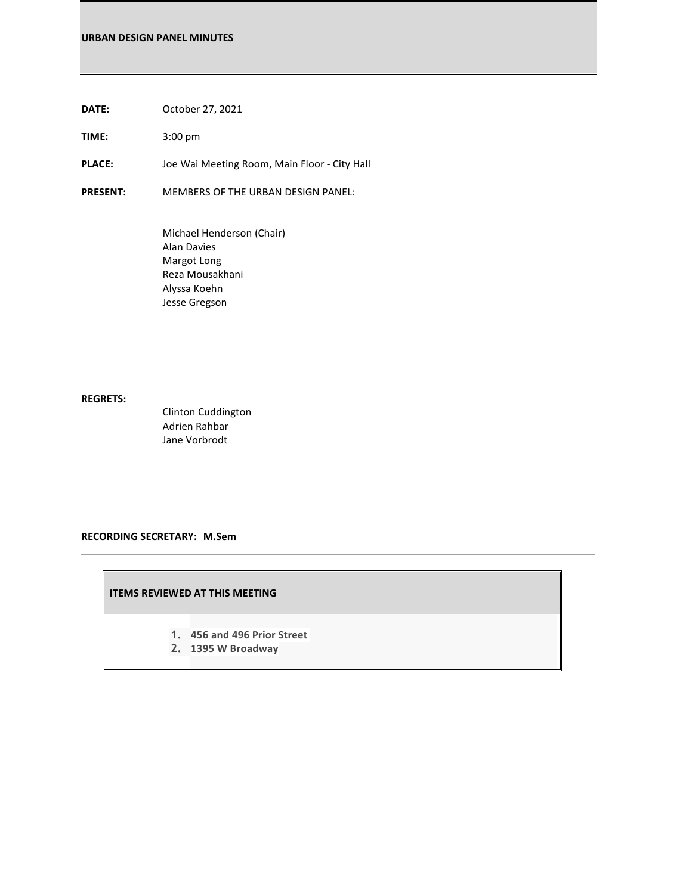**DATE:** October 27, 2021

**TIME:** 3:00 pm

PLACE: Joe Wai Meeting Room, Main Floor - City Hall

**PRESENT:** MEMBERS OF THE URBAN DESIGN PANEL:

Michael Henderson (Chair) Alan Davies Margot Long Reza Mousakhani Alyssa Koehn Jesse Gregson

# **REGRETS:**

Clinton Cuddington Adrien Rahbar Jane Vorbrodt

#### **RECORDING SECRETARY: M.Sem**

#### **ITEMS REVIEWED AT THIS MEETING**

- **1. 456 and 496 Prior Street**
- **2. 1395 W Broadway**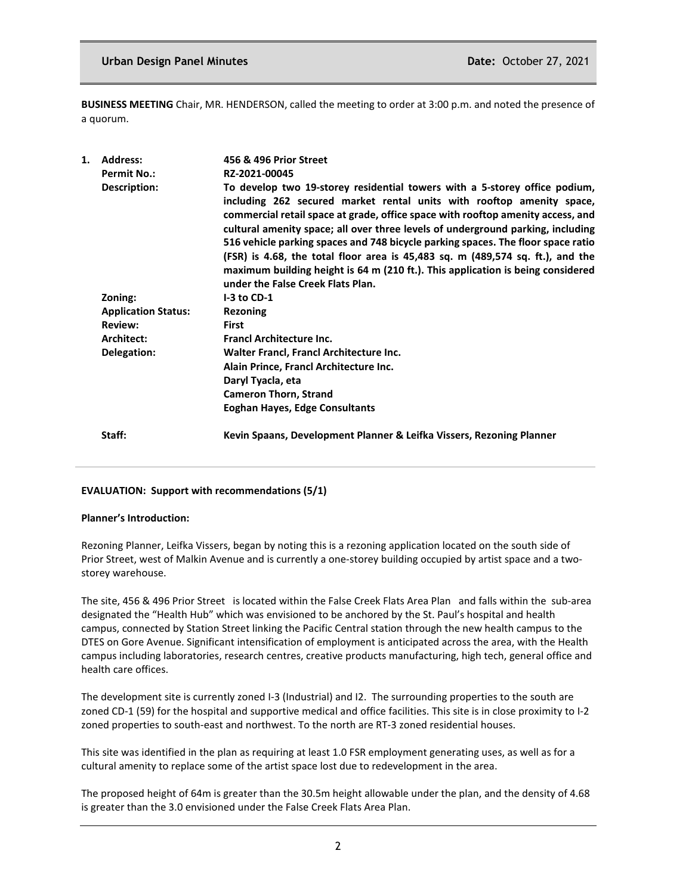**BUSINESS MEETING** Chair, MR. HENDERSON, called the meeting to order at 3:00 p.m. and noted the presence of a quorum.

| 1. | <b>Address:</b>            | 456 & 496 Prior Street                                                                                                                                                                                                                                                                                                                                                                                                                                                                                                                                                                                                  |
|----|----------------------------|-------------------------------------------------------------------------------------------------------------------------------------------------------------------------------------------------------------------------------------------------------------------------------------------------------------------------------------------------------------------------------------------------------------------------------------------------------------------------------------------------------------------------------------------------------------------------------------------------------------------------|
|    | <b>Permit No.:</b>         | RZ-2021-00045                                                                                                                                                                                                                                                                                                                                                                                                                                                                                                                                                                                                           |
|    | Description:               | To develop two 19-storey residential towers with a 5-storey office podium,<br>including 262 secured market rental units with rooftop amenity space,<br>commercial retail space at grade, office space with rooftop amenity access, and<br>cultural amenity space; all over three levels of underground parking, including<br>516 vehicle parking spaces and 748 bicycle parking spaces. The floor space ratio<br>(FSR) is 4.68, the total floor area is 45,483 sq. m (489,574 sq. ft.), and the<br>maximum building height is 64 m (210 ft.). This application is being considered<br>under the False Creek Flats Plan. |
|    | Zoning:                    | $I-3$ to CD-1                                                                                                                                                                                                                                                                                                                                                                                                                                                                                                                                                                                                           |
|    | <b>Application Status:</b> | <b>Rezoning</b>                                                                                                                                                                                                                                                                                                                                                                                                                                                                                                                                                                                                         |
|    | <b>Review:</b>             | <b>First</b>                                                                                                                                                                                                                                                                                                                                                                                                                                                                                                                                                                                                            |
|    | Architect:                 | <b>Francl Architecture Inc.</b>                                                                                                                                                                                                                                                                                                                                                                                                                                                                                                                                                                                         |
|    | Delegation:                | Walter Francl, Francl Architecture Inc.                                                                                                                                                                                                                                                                                                                                                                                                                                                                                                                                                                                 |
|    |                            | Alain Prince, Francl Architecture Inc.                                                                                                                                                                                                                                                                                                                                                                                                                                                                                                                                                                                  |
|    |                            | Daryl Tyacla, eta                                                                                                                                                                                                                                                                                                                                                                                                                                                                                                                                                                                                       |
|    |                            | <b>Cameron Thorn, Strand</b>                                                                                                                                                                                                                                                                                                                                                                                                                                                                                                                                                                                            |
|    |                            | Eoghan Hayes, Edge Consultants                                                                                                                                                                                                                                                                                                                                                                                                                                                                                                                                                                                          |
|    | Staff:                     | Kevin Spaans, Development Planner & Leifka Vissers, Rezoning Planner                                                                                                                                                                                                                                                                                                                                                                                                                                                                                                                                                    |

# **EVALUATION: Support with recommendations (5/1)**

#### **Planner's Introduction:**

Rezoning Planner, Leifka Vissers, began by noting this is a rezoning application located on the south side of Prior Street, west of Malkin Avenue and is currently a one-storey building occupied by artist space and a twostorey warehouse.

The site, 456 & 496 Prior Street is located within the False Creek Flats Area Plan and falls within the sub-area designated the "Health Hub" which was envisioned to be anchored by the St. Paul's hospital and health campus, connected by Station Street linking the Pacific Central station through the new health campus to the DTES on Gore Avenue. Significant intensification of employment is anticipated across the area, with the Health campus including laboratories, research centres, creative products manufacturing, high tech, general office and health care offices.

The development site is currently zoned I-3 (Industrial) and I2. The surrounding properties to the south are zoned CD-1 (59) for the hospital and supportive medical and office facilities. This site is in close proximity to I-2 zoned properties to south-east and northwest. To the north are RT-3 zoned residential houses.

This site was identified in the plan as requiring at least 1.0 FSR employment generating uses, as well as for a cultural amenity to replace some of the artist space lost due to redevelopment in the area.

The proposed height of 64m is greater than the 30.5m height allowable under the plan, and the density of 4.68 is greater than the 3.0 envisioned under the False Creek Flats Area Plan.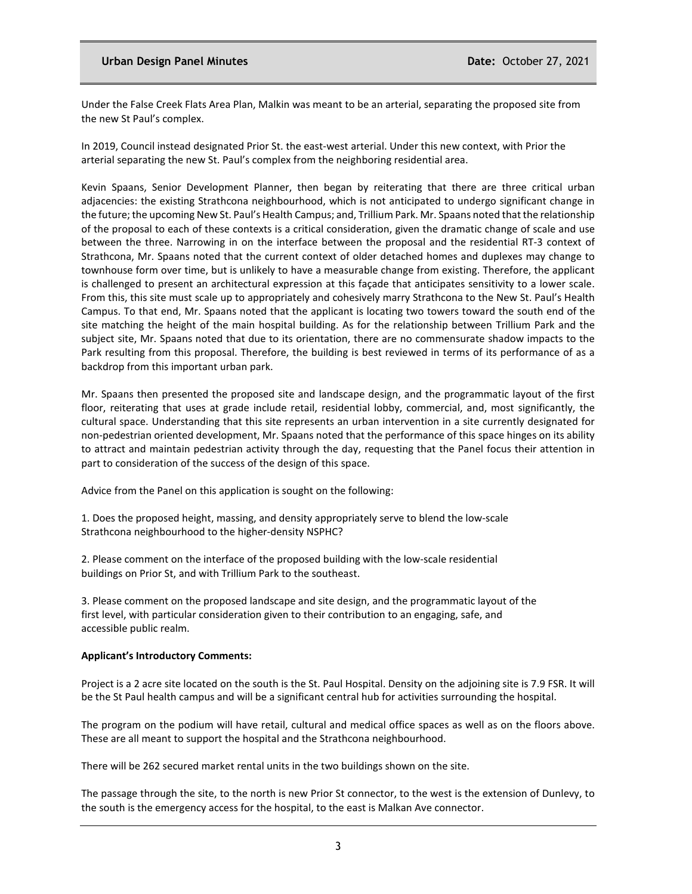# **Urban Design Panel Minutes Community Community Paragonic Date: October 27, 2021**

Under the False Creek Flats Area Plan, Malkin was meant to be an arterial, separating the proposed site from the new St Paul's complex.

In 2019, Council instead designated Prior St. the east-west arterial. Under this new context, with Prior the arterial separating the new St. Paul's complex from the neighboring residential area.

Kevin Spaans, Senior Development Planner, then began by reiterating that there are three critical urban adjacencies: the existing Strathcona neighbourhood, which is not anticipated to undergo significant change in the future; the upcoming New St. Paul's Health Campus; and, Trillium Park. Mr. Spaans noted that the relationship of the proposal to each of these contexts is a critical consideration, given the dramatic change of scale and use between the three. Narrowing in on the interface between the proposal and the residential RT-3 context of Strathcona, Mr. Spaans noted that the current context of older detached homes and duplexes may change to townhouse form over time, but is unlikely to have a measurable change from existing. Therefore, the applicant is challenged to present an architectural expression at this façade that anticipates sensitivity to a lower scale. From this, this site must scale up to appropriately and cohesively marry Strathcona to the New St. Paul's Health Campus. To that end, Mr. Spaans noted that the applicant is locating two towers toward the south end of the site matching the height of the main hospital building. As for the relationship between Trillium Park and the subject site, Mr. Spaans noted that due to its orientation, there are no commensurate shadow impacts to the Park resulting from this proposal. Therefore, the building is best reviewed in terms of its performance of as a backdrop from this important urban park.

Mr. Spaans then presented the proposed site and landscape design, and the programmatic layout of the first floor, reiterating that uses at grade include retail, residential lobby, commercial, and, most significantly, the cultural space. Understanding that this site represents an urban intervention in a site currently designated for non-pedestrian oriented development, Mr. Spaans noted that the performance of this space hinges on its ability to attract and maintain pedestrian activity through the day, requesting that the Panel focus their attention in part to consideration of the success of the design of this space.

Advice from the Panel on this application is sought on the following:

1. Does the proposed height, massing, and density appropriately serve to blend the low-scale Strathcona neighbourhood to the higher-density NSPHC?

2. Please comment on the interface of the proposed building with the low-scale residential buildings on Prior St, and with Trillium Park to the southeast.

3. Please comment on the proposed landscape and site design, and the programmatic layout of the first level, with particular consideration given to their contribution to an engaging, safe, and accessible public realm.

# **Applicant's Introductory Comments:**

Project is a 2 acre site located on the south is the St. Paul Hospital. Density on the adjoining site is 7.9 FSR. It will be the St Paul health campus and will be a significant central hub for activities surrounding the hospital.

The program on the podium will have retail, cultural and medical office spaces as well as on the floors above. These are all meant to support the hospital and the Strathcona neighbourhood.

There will be 262 secured market rental units in the two buildings shown on the site.

The passage through the site, to the north is new Prior St connector, to the west is the extension of Dunlevy, to the south is the emergency access for the hospital, to the east is Malkan Ave connector.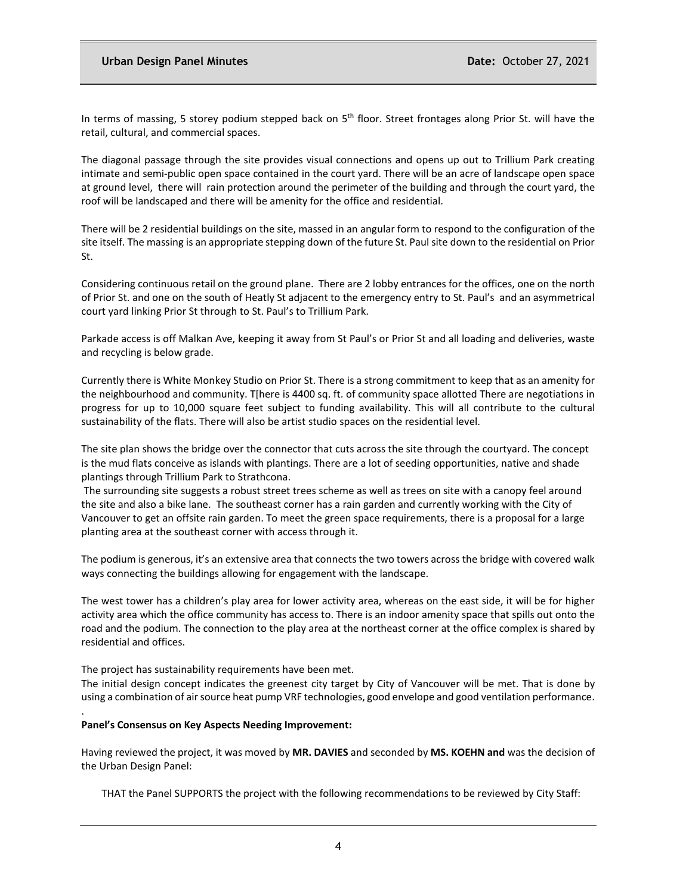In terms of massing, 5 storey podium stepped back on  $5<sup>th</sup>$  floor. Street frontages along Prior St. will have the retail, cultural, and commercial spaces.

The diagonal passage through the site provides visual connections and opens up out to Trillium Park creating intimate and semi-public open space contained in the court yard. There will be an acre of landscape open space at ground level, there will rain protection around the perimeter of the building and through the court yard, the roof will be landscaped and there will be amenity for the office and residential.

There will be 2 residential buildings on the site, massed in an angular form to respond to the configuration of the site itself. The massing is an appropriate stepping down of the future St. Paul site down to the residential on Prior St.

Considering continuous retail on the ground plane. There are 2 lobby entrances for the offices, one on the north of Prior St. and one on the south of Heatly St adjacent to the emergency entry to St. Paul's and an asymmetrical court yard linking Prior St through to St. Paul's to Trillium Park.

Parkade access is off Malkan Ave, keeping it away from St Paul's or Prior St and all loading and deliveries, waste and recycling is below grade.

Currently there is White Monkey Studio on Prior St. There is a strong commitment to keep that as an amenity for the neighbourhood and community. T[here is 4400 sq. ft. of community space allotted There are negotiations in progress for up to 10,000 square feet subject to funding availability. This will all contribute to the cultural sustainability of the flats. There will also be artist studio spaces on the residential level.

The site plan shows the bridge over the connector that cuts across the site through the courtyard. The concept is the mud flats conceive as islands with plantings. There are a lot of seeding opportunities, native and shade plantings through Trillium Park to Strathcona.

The surrounding site suggests a robust street trees scheme as well as trees on site with a canopy feel around the site and also a bike lane. The southeast corner has a rain garden and currently working with the City of Vancouver to get an offsite rain garden. To meet the green space requirements, there is a proposal for a large planting area at the southeast corner with access through it.

The podium is generous, it's an extensive area that connects the two towers across the bridge with covered walk ways connecting the buildings allowing for engagement with the landscape.

The west tower has a children's play area for lower activity area, whereas on the east side, it will be for higher activity area which the office community has access to. There is an indoor amenity space that spills out onto the road and the podium. The connection to the play area at the northeast corner at the office complex is shared by residential and offices.

The project has sustainability requirements have been met.

The initial design concept indicates the greenest city target by City of Vancouver will be met. That is done by using a combination of air source heat pump VRF technologies, good envelope and good ventilation performance.

#### **Panel's Consensus on Key Aspects Needing Improvement:**

.

Having reviewed the project, it was moved by **MR. DAVIES** and seconded by **MS. KOEHN and** was the decision of the Urban Design Panel:

THAT the Panel SUPPORTS the project with the following recommendations to be reviewed by City Staff: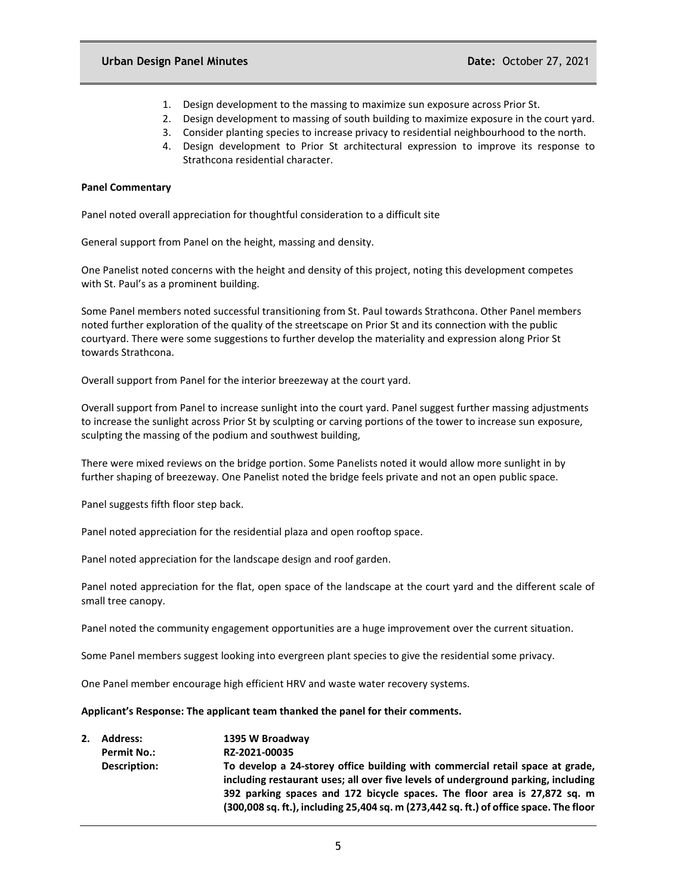- 1. Design development to the massing to maximize sun exposure across Prior St.
- 2. Design development to massing of south building to maximize exposure in the court yard.
- 3. Consider planting species to increase privacy to residential neighbourhood to the north.
- 4. Design development to Prior St architectural expression to improve its response to Strathcona residential character.

#### **Panel Commentary**

Panel noted overall appreciation for thoughtful consideration to a difficult site

General support from Panel on the height, massing and density.

One Panelist noted concerns with the height and density of this project, noting this development competes with St. Paul's as a prominent building.

Some Panel members noted successful transitioning from St. Paul towards Strathcona. Other Panel members noted further exploration of the quality of the streetscape on Prior St and its connection with the public courtyard. There were some suggestions to further develop the materiality and expression along Prior St towards Strathcona.

Overall support from Panel for the interior breezeway at the court yard.

Overall support from Panel to increase sunlight into the court yard. Panel suggest further massing adjustments to increase the sunlight across Prior St by sculpting or carving portions of the tower to increase sun exposure, sculpting the massing of the podium and southwest building,

There were mixed reviews on the bridge portion. Some Panelists noted it would allow more sunlight in by further shaping of breezeway. One Panelist noted the bridge feels private and not an open public space.

Panel suggests fifth floor step back.

Panel noted appreciation for the residential plaza and open rooftop space.

Panel noted appreciation for the landscape design and roof garden.

Panel noted appreciation for the flat, open space of the landscape at the court yard and the different scale of small tree canopy.

Panel noted the community engagement opportunities are a huge improvement over the current situation.

Some Panel members suggest looking into evergreen plant species to give the residential some privacy.

One Panel member encourage high efficient HRV and waste water recovery systems.

#### **Applicant's Response: The applicant team thanked the panel for their comments.**

**2. Address: 1395 W Broadway Permit No.: RZ-2021-00035 Description: To develop a 24-storey office building with commercial retail space at grade, including restaurant uses; all over five levels of underground parking, including 392 parking spaces and 172 bicycle spaces. The floor area is 27,872 sq. m (300,008 sq. ft.), including 25,404 sq. m (273,442 sq. ft.) of office space. The floor**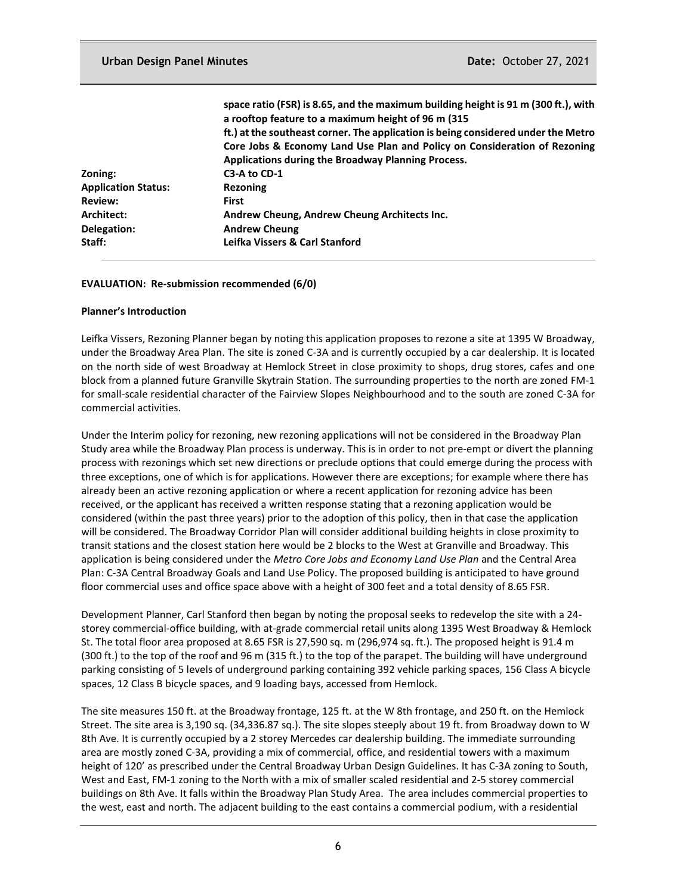|                            | space ratio (FSR) is 8.65, and the maximum building height is 91 m (300 ft.), with<br>a rooftop feature to a maximum height of 96 m (315) |
|----------------------------|-------------------------------------------------------------------------------------------------------------------------------------------|
|                            | ft.) at the southeast corner. The application is being considered under the Metro                                                         |
|                            | Core Jobs & Economy Land Use Plan and Policy on Consideration of Rezoning                                                                 |
|                            | Applications during the Broadway Planning Process.                                                                                        |
| Zoning:                    | C3-A to CD-1                                                                                                                              |
| <b>Application Status:</b> | <b>Rezoning</b>                                                                                                                           |
| <b>Review:</b>             | <b>First</b>                                                                                                                              |
| Architect:                 | Andrew Cheung, Andrew Cheung Architects Inc.                                                                                              |
| Delegation:                | <b>Andrew Cheung</b>                                                                                                                      |
| Staff:                     | Leifka Vissers & Carl Stanford                                                                                                            |

#### **EVALUATION: Re-submission recommended (6/0)**

### **Planner's Introduction**

Leifka Vissers, Rezoning Planner began by noting this application proposes to rezone a site at 1395 W Broadway, under the Broadway Area Plan. The site is zoned C-3A and is currently occupied by a car dealership. It is located on the north side of west Broadway at Hemlock Street in close proximity to shops, drug stores, cafes and one block from a planned future Granville Skytrain Station. The surrounding properties to the north are zoned FM-1 for small-scale residential character of the Fairview Slopes Neighbourhood and to the south are zoned C-3A for commercial activities.

Under the Interim policy for rezoning, new rezoning applications will not be considered in the Broadway Plan Study area while the Broadway Plan process is underway. This is in order to not pre-empt or divert the planning process with rezonings which set new directions or preclude options that could emerge during the process with three exceptions, one of which is for applications. However there are exceptions; for example where there has already been an active rezoning application or where a recent application for rezoning advice has been received, or the applicant has received a written response stating that a rezoning application would be considered (within the past three years) prior to the adoption of this policy, then in that case the application will be considered. The Broadway Corridor Plan will consider additional building heights in close proximity to transit stations and the closest station here would be 2 blocks to the West at Granville and Broadway. This application is being considered under the *Metro Core Jobs and Economy Land Use Plan* and the Central Area Plan: C-3A Central Broadway Goals and Land Use Policy. The proposed building is anticipated to have ground floor commercial uses and office space above with a height of 300 feet and a total density of 8.65 FSR.

Development Planner, Carl Stanford then began by noting the proposal seeks to redevelop the site with a 24 storey commercial-office building, with at-grade commercial retail units along 1395 West Broadway & Hemlock St. The total floor area proposed at 8.65 FSR is 27,590 sq. m (296,974 sq. ft.). The proposed height is 91.4 m (300 ft.) to the top of the roof and 96 m (315 ft.) to the top of the parapet. The building will have underground parking consisting of 5 levels of underground parking containing 392 vehicle parking spaces, 156 Class A bicycle spaces, 12 Class B bicycle spaces, and 9 loading bays, accessed from Hemlock.

The site measures 150 ft. at the Broadway frontage, 125 ft. at the W 8th frontage, and 250 ft. on the Hemlock Street. The site area is 3,190 sq. (34,336.87 sq.). The site slopes steeply about 19 ft. from Broadway down to W 8th Ave. It is currently occupied by a 2 storey Mercedes car dealership building. The immediate surrounding area are mostly zoned C-3A, providing a mix of commercial, office, and residential towers with a maximum height of 120' as prescribed under the Central Broadway Urban Design Guidelines. It has C-3A zoning to South, West and East, FM-1 zoning to the North with a mix of smaller scaled residential and 2-5 storey commercial buildings on 8th Ave. It falls within the Broadway Plan Study Area. The area includes commercial properties to the west, east and north. The adjacent building to the east contains a commercial podium, with a residential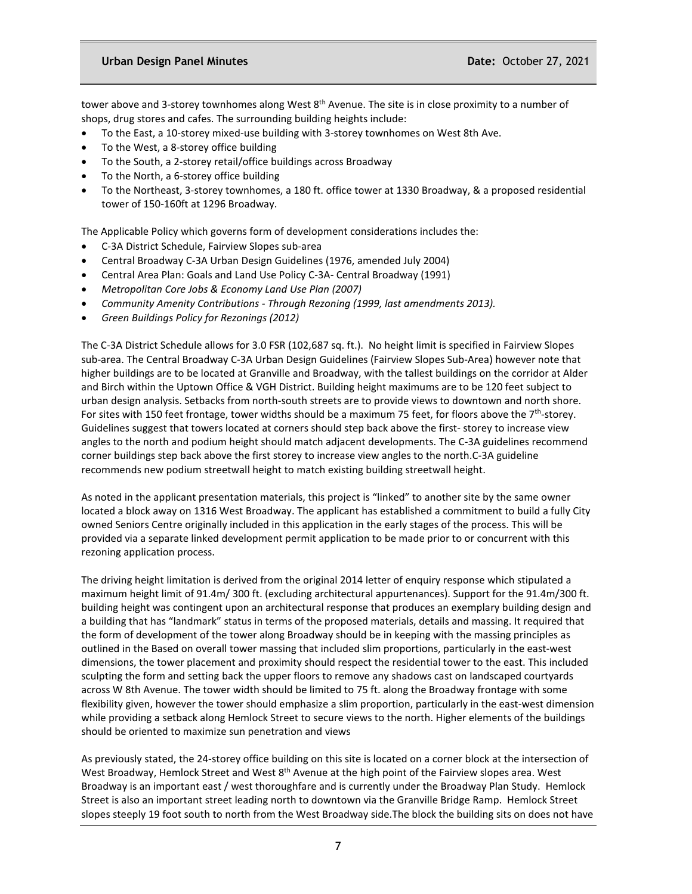tower above and 3-storey townhomes along West 8<sup>th</sup> Avenue. The site is in close proximity to a number of shops, drug stores and cafes. The surrounding building heights include:

- To the East, a 10-storey mixed-use building with 3-storey townhomes on West 8th Ave.
- To the West, a 8-storey office building
- To the South, a 2-storey retail/office buildings across Broadway
- To the North, a 6-storey office building
- To the Northeast, 3-storey townhomes, a 180 ft. office tower at 1330 Broadway, & a proposed residential tower of 150-160ft at 1296 Broadway.

The Applicable Policy which governs form of development considerations includes the:

- C-3A District Schedule, Fairview Slopes sub-area
- Central Broadway C-3A Urban Design Guidelines (1976, amended July 2004)
- Central Area Plan: Goals and Land Use Policy C-3A- Central Broadway (1991)
- *Metropolitan Core Jobs & Economy Land Use Plan (2007)*
- *Community Amenity Contributions - Through Rezoning (1999, last amendments 2013).*
- *Green Buildings Policy for Rezonings (2012)*

The C-3A District Schedule allows for 3.0 FSR (102,687 sq. ft.). No height limit is specified in Fairview Slopes sub-area. The Central Broadway C-3A Urban Design Guidelines (Fairview Slopes Sub-Area) however note that higher buildings are to be located at Granville and Broadway, with the tallest buildings on the corridor at Alder and Birch within the Uptown Office & VGH District. Building height maximums are to be 120 feet subject to urban design analysis. Setbacks from north-south streets are to provide views to downtown and north shore. For sites with 150 feet frontage, tower widths should be a maximum 75 feet, for floors above the  $7<sup>th</sup>$ -storey. Guidelines suggest that towers located at corners should step back above the first- storey to increase view angles to the north and podium height should match adjacent developments. The C-3A guidelines recommend corner buildings step back above the first storey to increase view angles to the north.C-3A guideline recommends new podium streetwall height to match existing building streetwall height.

As noted in the applicant presentation materials, this project is "linked" to another site by the same owner located a block away on 1316 West Broadway. The applicant has established a commitment to build a fully City owned Seniors Centre originally included in this application in the early stages of the process. This will be provided via a separate linked development permit application to be made prior to or concurrent with this rezoning application process.

The driving height limitation is derived from the original 2014 letter of enquiry response which stipulated a maximum height limit of 91.4m/ 300 ft. (excluding architectural appurtenances). Support for the 91.4m/300 ft. building height was contingent upon an architectural response that produces an exemplary building design and a building that has "landmark" status in terms of the proposed materials, details and massing. It required that the form of development of the tower along Broadway should be in keeping with the massing principles as outlined in the Based on overall tower massing that included slim proportions, particularly in the east-west dimensions, the tower placement and proximity should respect the residential tower to the east. This included sculpting the form and setting back the upper floors to remove any shadows cast on landscaped courtyards across W 8th Avenue. The tower width should be limited to 75 ft. along the Broadway frontage with some flexibility given, however the tower should emphasize a slim proportion, particularly in the east-west dimension while providing a setback along Hemlock Street to secure views to the north. Higher elements of the buildings should be oriented to maximize sun penetration and views

As previously stated, the 24-storey office building on this site is located on a corner block at the intersection of West Broadway, Hemlock Street and West 8<sup>th</sup> Avenue at the high point of the Fairview slopes area. West Broadway is an important east / west thoroughfare and is currently under the Broadway Plan Study. Hemlock Street is also an important street leading north to downtown via the Granville Bridge Ramp. Hemlock Street slopes steeply 19 foot south to north from the West Broadway side.The block the building sits on does not have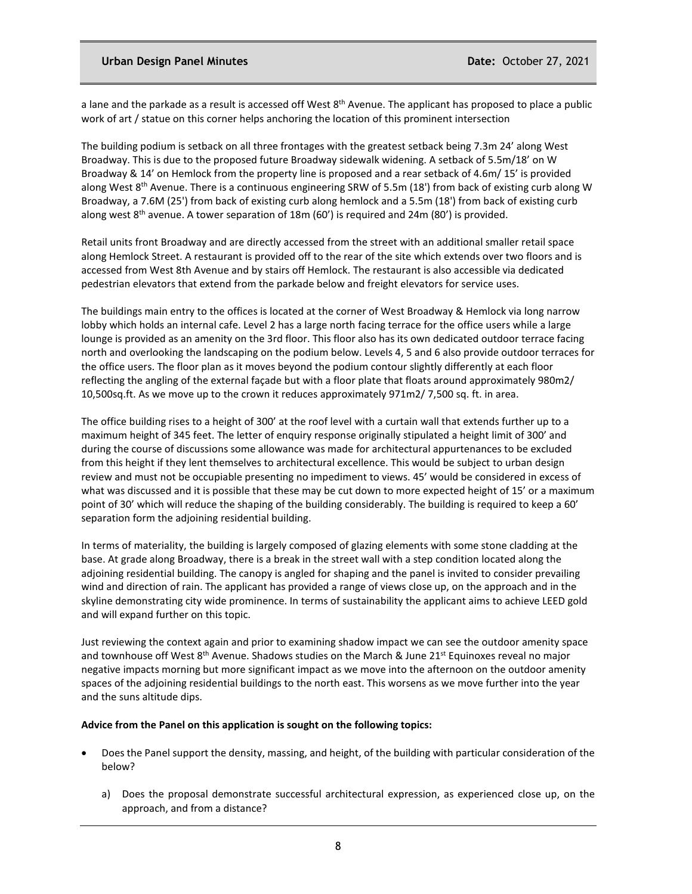### **Urban Design Panel Minutes Date:** October 27, 2021

a lane and the parkade as a result is accessed off West 8<sup>th</sup> Avenue. The applicant has proposed to place a public work of art / statue on this corner helps anchoring the location of this prominent intersection

The building podium is setback on all three frontages with the greatest setback being 7.3m 24' along West Broadway. This is due to the proposed future Broadway sidewalk widening. A setback of 5.5m/18' on W Broadway & 14' on Hemlock from the property line is proposed and a rear setback of 4.6m/ 15' is provided along West 8<sup>th</sup> Avenue. There is a continuous engineering SRW of 5.5m (18') from back of existing curb along W Broadway, a 7.6M (25') from back of existing curb along hemlock and a 5.5m (18') from back of existing curb along west  $8<sup>th</sup>$  avenue. A tower separation of 18m (60') is required and 24m (80') is provided.

Retail units front Broadway and are directly accessed from the street with an additional smaller retail space along Hemlock Street. A restaurant is provided off to the rear of the site which extends over two floors and is accessed from West 8th Avenue and by stairs off Hemlock. The restaurant is also accessible via dedicated pedestrian elevators that extend from the parkade below and freight elevators for service uses.

The buildings main entry to the offices is located at the corner of West Broadway & Hemlock via long narrow lobby which holds an internal cafe. Level 2 has a large north facing terrace for the office users while a large lounge is provided as an amenity on the 3rd floor. This floor also has its own dedicated outdoor terrace facing north and overlooking the landscaping on the podium below. Levels 4, 5 and 6 also provide outdoor terraces for the office users. The floor plan as it moves beyond the podium contour slightly differently at each floor reflecting the angling of the external façade but with a floor plate that floats around approximately 980m2/ 10,500sq.ft. As we move up to the crown it reduces approximately 971m2/ 7,500 sq. ft. in area.

The office building rises to a height of 300' at the roof level with a curtain wall that extends further up to a maximum height of 345 feet. The letter of enquiry response originally stipulated a height limit of 300' and during the course of discussions some allowance was made for architectural appurtenances to be excluded from this height if they lent themselves to architectural excellence. This would be subject to urban design review and must not be occupiable presenting no impediment to views. 45' would be considered in excess of what was discussed and it is possible that these may be cut down to more expected height of 15' or a maximum point of 30' which will reduce the shaping of the building considerably. The building is required to keep a 60' separation form the adjoining residential building.

In terms of materiality, the building is largely composed of glazing elements with some stone cladding at the base. At grade along Broadway, there is a break in the street wall with a step condition located along the adjoining residential building. The canopy is angled for shaping and the panel is invited to consider prevailing wind and direction of rain. The applicant has provided a range of views close up, on the approach and in the skyline demonstrating city wide prominence. In terms of sustainability the applicant aims to achieve LEED gold and will expand further on this topic.

Just reviewing the context again and prior to examining shadow impact we can see the outdoor amenity space and townhouse off West 8<sup>th</sup> Avenue. Shadows studies on the March & June 21<sup>st</sup> Equinoxes reveal no major negative impacts morning but more significant impact as we move into the afternoon on the outdoor amenity spaces of the adjoining residential buildings to the north east. This worsens as we move further into the year and the suns altitude dips.

#### **Advice from the Panel on this application is sought on the following topics:**

- Does the Panel support the density, massing, and height, of the building with particular consideration of the below?
	- a) Does the proposal demonstrate successful architectural expression, as experienced close up, on the approach, and from a distance?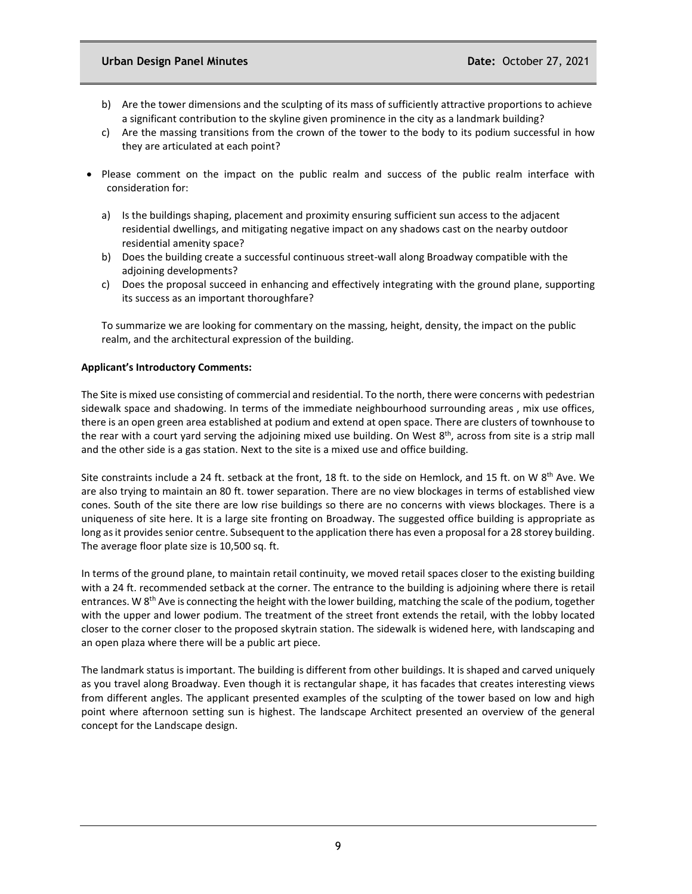## **Urban Design Panel Minutes Date:** October 27, 2021

- b) Are the tower dimensions and the sculpting of its mass of sufficiently attractive proportions to achieve a significant contribution to the skyline given prominence in the city as a landmark building?
- c) Are the massing transitions from the crown of the tower to the body to its podium successful in how they are articulated at each point?
- Please comment on the impact on the public realm and success of the public realm interface with consideration for:
	- a) Is the buildings shaping, placement and proximity ensuring sufficient sun access to the adjacent residential dwellings, and mitigating negative impact on any shadows cast on the nearby outdoor residential amenity space?
	- b) Does the building create a successful continuous street-wall along Broadway compatible with the adjoining developments?
	- c) Does the proposal succeed in enhancing and effectively integrating with the ground plane, supporting its success as an important thoroughfare?

To summarize we are looking for commentary on the massing, height, density, the impact on the public realm, and the architectural expression of the building.

### **Applicant's Introductory Comments:**

The Site is mixed use consisting of commercial and residential. To the north, there were concerns with pedestrian sidewalk space and shadowing. In terms of the immediate neighbourhood surrounding areas , mix use offices, there is an open green area established at podium and extend at open space. There are clusters of townhouse to the rear with a court yard serving the adjoining mixed use building. On West  $8<sup>th</sup>$ , across from site is a strip mall and the other side is a gas station. Next to the site is a mixed use and office building.

Site constraints include a 24 ft. setback at the front, 18 ft. to the side on Hemlock, and 15 ft. on W 8<sup>th</sup> Ave. We are also trying to maintain an 80 ft. tower separation. There are no view blockages in terms of established view cones. South of the site there are low rise buildings so there are no concerns with views blockages. There is a uniqueness of site here. It is a large site fronting on Broadway. The suggested office building is appropriate as long as it provides senior centre. Subsequent to the application there has even a proposal for a 28 storey building. The average floor plate size is 10,500 sq. ft.

In terms of the ground plane, to maintain retail continuity, we moved retail spaces closer to the existing building with a 24 ft. recommended setback at the corner. The entrance to the building is adjoining where there is retail entrances. W 8<sup>th</sup> Ave is connecting the height with the lower building, matching the scale of the podium, together with the upper and lower podium. The treatment of the street front extends the retail, with the lobby located closer to the corner closer to the proposed skytrain station. The sidewalk is widened here, with landscaping and an open plaza where there will be a public art piece.

The landmark status is important. The building is different from other buildings. It is shaped and carved uniquely as you travel along Broadway. Even though it is rectangular shape, it has facades that creates interesting views from different angles. The applicant presented examples of the sculpting of the tower based on low and high point where afternoon setting sun is highest. The landscape Architect presented an overview of the general concept for the Landscape design.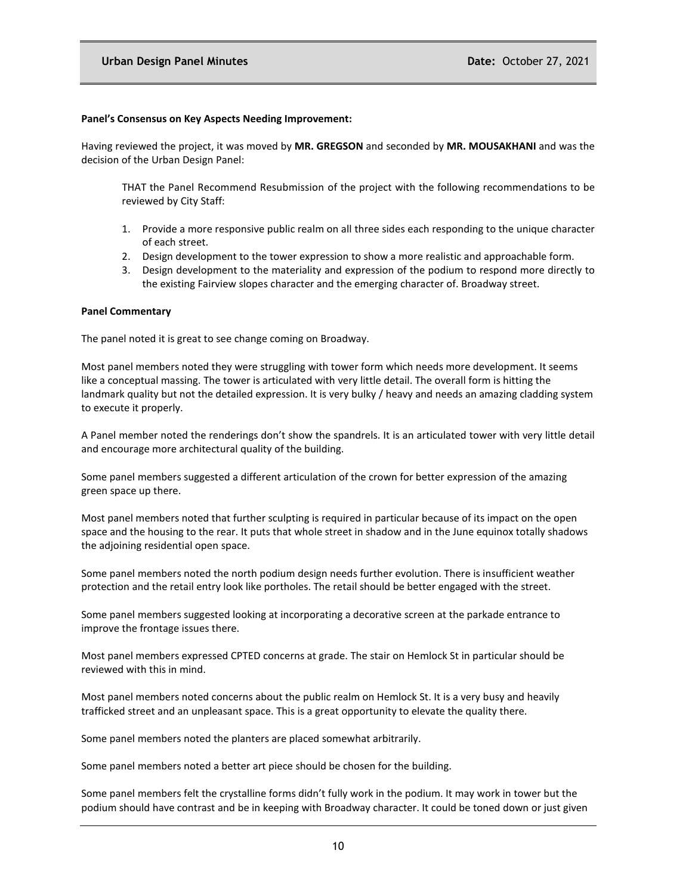#### **Panel's Consensus on Key Aspects Needing Improvement:**

Having reviewed the project, it was moved by **MR. GREGSON** and seconded by **MR. MOUSAKHANI** and was the decision of the Urban Design Panel:

THAT the Panel Recommend Resubmission of the project with the following recommendations to be reviewed by City Staff:

- 1. Provide a more responsive public realm on all three sides each responding to the unique character of each street.
- 2. Design development to the tower expression to show a more realistic and approachable form.
- 3. Design development to the materiality and expression of the podium to respond more directly to the existing Fairview slopes character and the emerging character of. Broadway street.

#### **Panel Commentary**

The panel noted it is great to see change coming on Broadway.

Most panel members noted they were struggling with tower form which needs more development. It seems like a conceptual massing. The tower is articulated with very little detail. The overall form is hitting the landmark quality but not the detailed expression. It is very bulky / heavy and needs an amazing cladding system to execute it properly.

A Panel member noted the renderings don't show the spandrels. It is an articulated tower with very little detail and encourage more architectural quality of the building.

Some panel members suggested a different articulation of the crown for better expression of the amazing green space up there.

Most panel members noted that further sculpting is required in particular because of its impact on the open space and the housing to the rear. It puts that whole street in shadow and in the June equinox totally shadows the adjoining residential open space.

Some panel members noted the north podium design needs further evolution. There is insufficient weather protection and the retail entry look like portholes. The retail should be better engaged with the street.

Some panel members suggested looking at incorporating a decorative screen at the parkade entrance to improve the frontage issues there.

Most panel members expressed CPTED concerns at grade. The stair on Hemlock St in particular should be reviewed with this in mind.

Most panel members noted concerns about the public realm on Hemlock St. It is a very busy and heavily trafficked street and an unpleasant space. This is a great opportunity to elevate the quality there.

Some panel members noted the planters are placed somewhat arbitrarily.

Some panel members noted a better art piece should be chosen for the building.

Some panel members felt the crystalline forms didn't fully work in the podium. It may work in tower but the podium should have contrast and be in keeping with Broadway character. It could be toned down or just given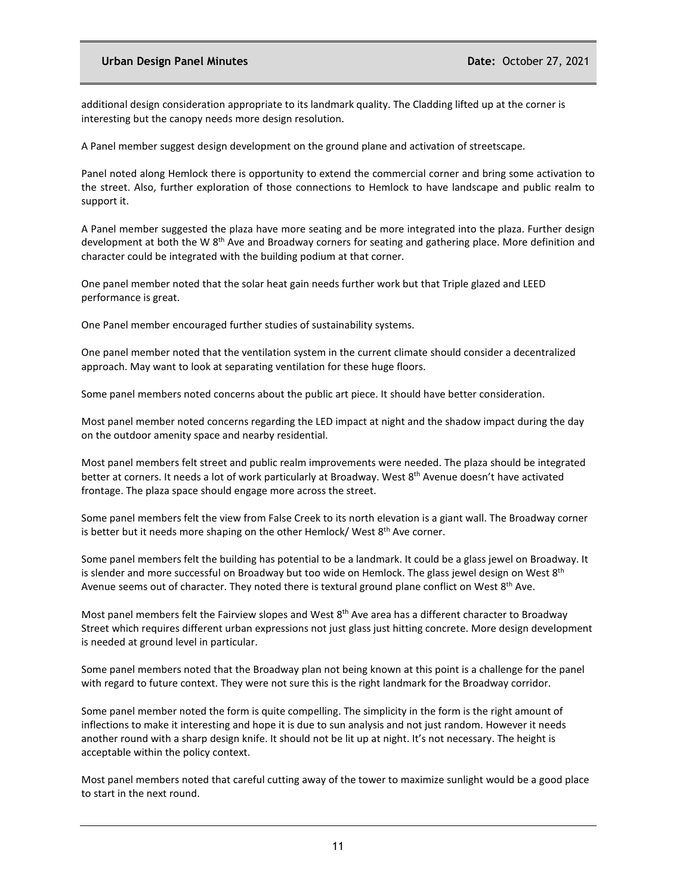### **Urban Design Panel Minutes Date:** October 27, 2021

additional design consideration appropriate to its landmark quality. The Cladding lifted up at the corner is interesting but the canopy needs more design resolution.

A Panel member suggest design development on the ground plane and activation of streetscape.

Panel noted along Hemlock there is opportunity to extend the commercial corner and bring some activation to the street. Also, further exploration of those connections to Hemlock to have landscape and public realm to support it.

A Panel member suggested the plaza have more seating and be more integrated into the plaza. Further design development at both the W 8<sup>th</sup> Ave and Broadway corners for seating and gathering place. More definition and character could be integrated with the building podium at that corner.

One panel member noted that the solar heat gain needs further work but that Triple glazed and LEED performance is great.

One Panel member encouraged further studies of sustainability systems.

One panel member noted that the ventilation system in the current climate should consider a decentralized approach. May want to look at separating ventilation for these huge floors.

Some panel members noted concerns about the public art piece. It should have better consideration.

Most panel member noted concerns regarding the LED impact at night and the shadow impact during the day on the outdoor amenity space and nearby residential.

Most panel members felt street and public realm improvements were needed. The plaza should be integrated better at corners. It needs a lot of work particularly at Broadway. West 8<sup>th</sup> Avenue doesn't have activated frontage. The plaza space should engage more across the street.

Some panel members felt the view from False Creek to its north elevation is a giant wall. The Broadway corner is better but it needs more shaping on the other Hemlock/ West 8<sup>th</sup> Ave corner.

Some panel members felt the building has potential to be a landmark. It could be a glass jewel on Broadway. It is slender and more successful on Broadway but too wide on Hemlock. The glass jewel design on West  $8<sup>th</sup>$ Avenue seems out of character. They noted there is textural ground plane conflict on West 8<sup>th</sup> Ave.

Most panel members felt the Fairview slopes and West 8<sup>th</sup> Ave area has a different character to Broadway Street which requires different urban expressions not just glass just hitting concrete. More design development is needed at ground level in particular.

Some panel members noted that the Broadway plan not being known at this point is a challenge for the panel with regard to future context. They were not sure this is the right landmark for the Broadway corridor.

Some panel member noted the form is quite compelling. The simplicity in the form is the right amount of inflections to make it interesting and hope it is due to sun analysis and not just random. However it needs another round with a sharp design knife. It should not be lit up at night. It's not necessary. The height is acceptable within the policy context.

Most panel members noted that careful cutting away of the tower to maximize sunlight would be a good place to start in the next round.